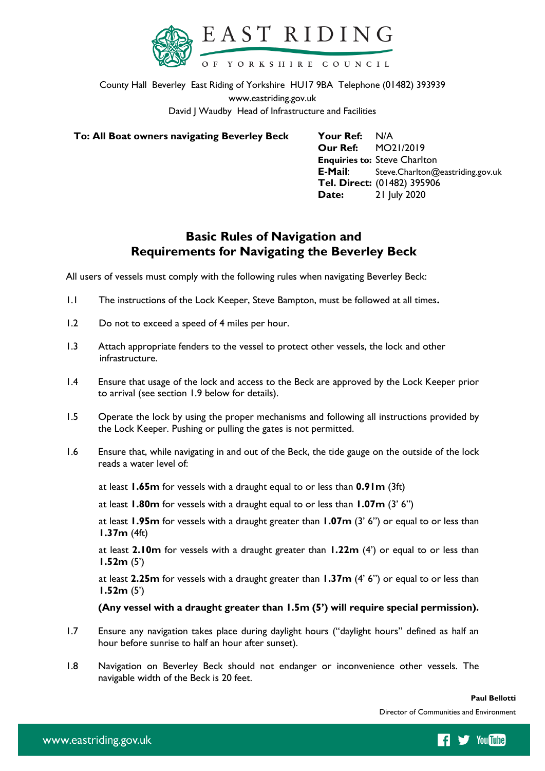

County Hall Beverley East Riding of Yorkshire HU17 9BA Telephone (01482) 393939 www.eastriding.gov.uk David J Waudby Head of Infrastructure and Facilities

**To: All Boat owners navigating Beverley Beck Your Ref:** N/A

**Our Ref:** MO21/2019 **Enquiries to:** Steve Charlton **E-Mail**: Steve.Charlton@eastriding.gov.uk **Tel. Direct:** (01482) 395906 **Date:** 21 July 2020

# **Basic Rules of Navigation and Requirements for Navigating the Beverley Beck**

All users of vessels must comply with the following rules when navigating Beverley Beck:

- 1.1 The instructions of the Lock Keeper, Steve Bampton, must be followed at all times**.**
- 1.2 Do not to exceed a speed of 4 miles per hour.
- 1.3 Attach appropriate fenders to the vessel to protect other vessels, the lock and other infrastructure.
- 1.4 Ensure that usage of the lock and access to the Beck are approved by the Lock Keeper prior to arrival (see section 1.9 below for details).
- 1.5 Operate the lock by using the proper mechanisms and following all instructions provided by the Lock Keeper. Pushing or pulling the gates is not permitted.
- 1.6 Ensure that, while navigating in and out of the Beck, the tide gauge on the outside of the lock reads a water level of:

at least **1.65m** for vessels with a draught equal to or less than **0.91m** (3ft)

at least **1.80m** for vessels with a draught equal to or less than **1.07m** (3' 6")

at least **1.95m** for vessels with a draught greater than **1.07m** (3' 6") or equal to or less than **1.37m** (4ft)

at least **2.10m** for vessels with a draught greater than **1.22m** (4') or equal to or less than **1.52m** (5')

at least **2.25m** for vessels with a draught greater than **1.37m** (4' 6") or equal to or less than **1.52m** (5')

## **(Any vessel with a draught greater than 1.5m (5') will require special permission).**

- 1.7 Ensure any navigation takes place during daylight hours ("daylight hours" defined as half an hour before sunrise to half an hour after sunset).
- 1.8 Navigation on Beverley Beck should not endanger or inconvenience other vessels. The navigable width of the Beck is 20 feet.